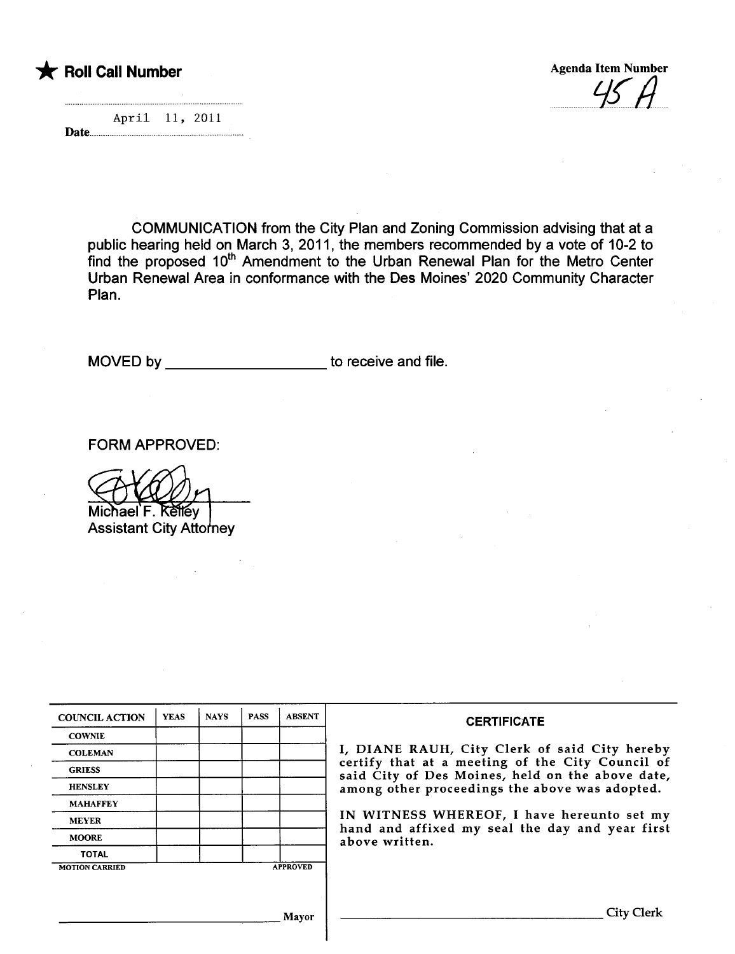Agenda Item Number  $P$   $H$ 

|        | April 11, 2011 |  |  |
|--------|----------------|--|--|
| - Date |                |  |  |

COMMUNICATION from the City Plan and Zoning Commission advising that at a public hearing held on March 3, 2011, the members recommended by a vote of 10-2 to find the proposed 10<sup>th</sup> Amendment to the Urban Renewal Plan for the Metro Center Urban Renewal Area in conformance with the Des Moines' 2020 Community Character Plan.

MOVED by \_\_\_\_\_\_\_\_\_\_\_\_\_\_\_\_\_\_\_\_\_\_\_ to receive and file.

FORM APPROVED:

chael F. Kellev

**Assistant City Attorney** 

| <b>COUNCIL ACTION</b> | <b>YEAS</b> | <b>NAYS</b>     | <b>PASS</b> | <b>ABSENT</b> |
|-----------------------|-------------|-----------------|-------------|---------------|
| <b>COWNIE</b>         |             |                 |             |               |
| <b>COLEMAN</b>        |             |                 |             |               |
| <b>GRIESS</b>         |             |                 |             |               |
| <b>HENSLEY</b>        |             |                 |             |               |
| <b>MAHAFFEY</b>       |             |                 |             |               |
| <b>MEYER</b>          |             |                 |             |               |
| <b>MOORE</b>          |             |                 |             |               |
| <b>TOTAL</b>          |             |                 |             |               |
| <b>MOTION CARRIED</b> |             | <b>APPROVED</b> |             |               |

#### **CERTIFICATE**

I, DIANE RAUH, City Clerk of said City hereby certify that at a meeting of the City Council of said City of Des Moines, held on the above date, among other proceedings the above was adopted.

IN WITNESS WHEREOF, I have hereunto set my hand and affixed my seal the day and year first above written.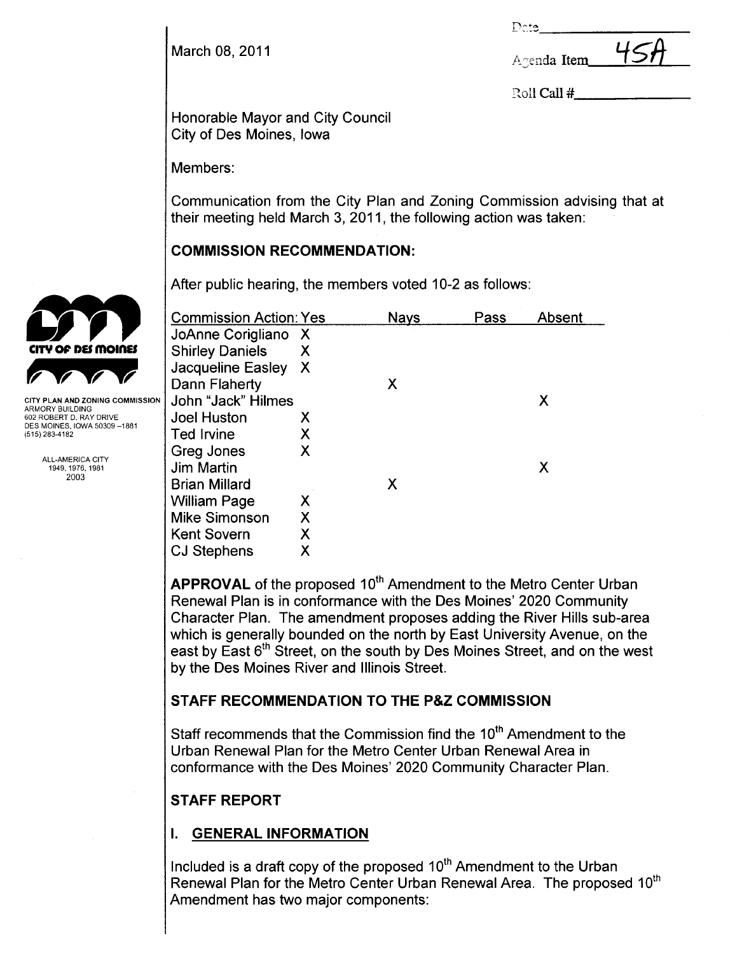Dete\_

| March 08, 2011 | Agenda Item | 45H |
|----------------|-------------|-----|
|                |             |     |

Roll Call #

Honorable Mayor and City Council City of Des Moines, Iowa

Members:

Communication from the City Plan and Zoning Commission advising that at their meeting held March 3, 2011, the following action was taken:

### COMMISSION RECOMMENDATION:

After public hearing, the members voted 10-2 as follows:

| <b>Commission Action: Yes</b> |   | Nays | Pass | Absent |
|-------------------------------|---|------|------|--------|
| JoAnne Corigliano X           |   |      |      |        |
| <b>Shirley Daniels</b>        | Χ |      |      |        |
| Jacqueline Easley X           |   |      |      |        |
| Dann Flaherty                 |   | Х    |      |        |
| John "Jack" Hilmes            |   |      |      | Χ      |
| <b>Joel Huston</b>            | Х |      |      |        |
| <b>Ted Irvine</b>             | X |      |      |        |
| Greg Jones                    | Χ |      |      |        |
| <b>Jim Martin</b>             |   |      |      | Χ      |
| <b>Brian Millard</b>          |   | Х    |      |        |
| <b>William Page</b>           | X |      |      |        |
| <b>Mike Simonson</b>          | X |      |      |        |
| <b>Kent Sovern</b>            | Χ |      |      |        |
| <b>CJ Stephens</b>            | Χ |      |      |        |

APPROVAL of the proposed 10<sup>th</sup> Amendment to the Metro Center Urban Renewal Plan is in conformance with the Des Moines' 2020 Community Character Plan. The amendment proposes adding the River Hills sub-area which is generally bounded on the north by East University Avenue, on the east by East 6<sup>th</sup> Street, on the south by Des Moines Street, and on the west by the Des Moines River and Illinois Street.

## STAFF RECOMMENDATION TO THE P&Z COMMISSION

Staff recommends that the Commission find the 10<sup>th</sup> Amendment to the Urban Renewal Plan for the Metro Center Urban Renewal Area in conformance with the Des Moines' 2020 Community Character Plan.

# STAFF REPORT

# I. GENERAL INFORMATION

Included is a draft copy of the proposed  $10<sup>th</sup>$  Amendment to the Urban Renewal Plan for the Metro Center Urban Renewal Area. The proposed 10<sup>th</sup> Amendment has two major components:



ARMORY BUILDING 602 ROBERT D. RAY DRIVE DES MOINES, IOWA 50309-1881 (515) 283-4182

> ALL-AMERICA CITY 1949,1976,1981 2003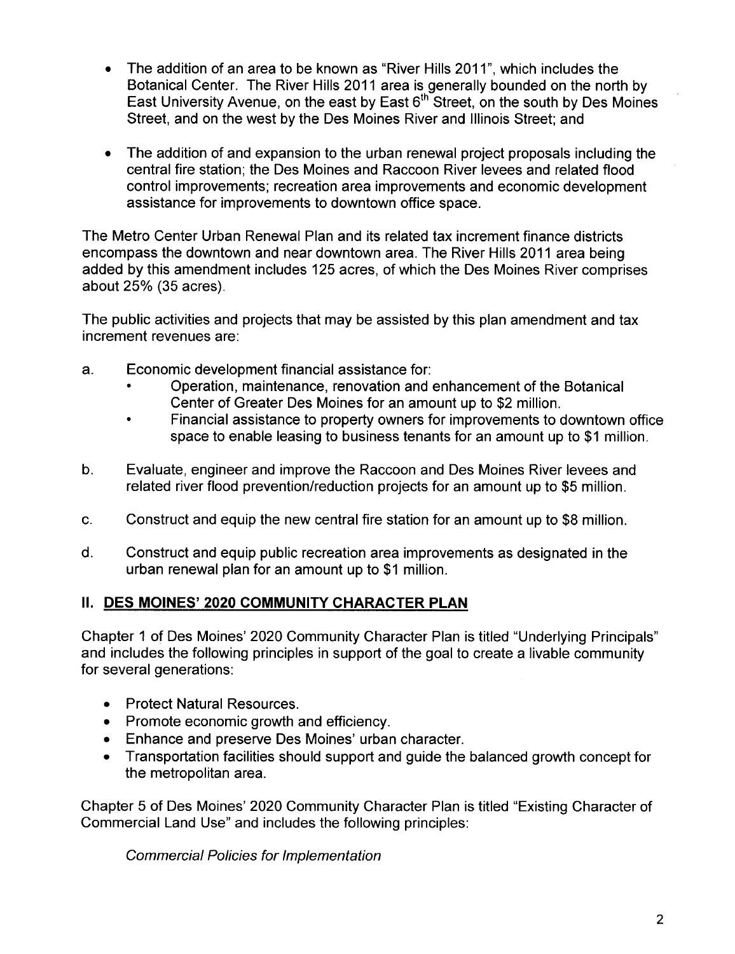- . The addition of an area to be known as "River Hills 2011 ", which includes the Botanical Center. The River Hils 2011 area is generally bounded on the north by East University Avenue, on the east by East  $6<sup>th</sup>$  Street, on the south by Des Moines Street, and on the west by the Des Moines River and Illinois Street; and
- . The addition of and expansion to the urban renewal project proposals including the central fire station; the Des Moines and Raccoon River levees and related flood control improvements; recreation area improvements and economic development assistance for improvements to downtown office space.

The Metro Center Urban Renewal Plan and its related tax increment finance districts encompass the downtown and near downtown area. The River Hills 2011 area being added by this amendment includes 125 acres, of which the Des Moines River comprises about 25% (35 acres).

The public activities and projects that may be assisted by this plan amendment and tax increment revenues are:

- a. Economic development financial assistance for:
	- · Operation, maintenance, renovation and enhancement of the Botanical Center of Greater Des Moines for an amount up to \$2 million.
	- Financial assistance to property owners for improvements to downtown office space to enable leasing to business tenants for an amount up to \$1 million.
- b. Evaluate, engineer and improve the Raccoon and Des Moines River levees and related river flood prevention/reduction projects for an amount up to \$5 million.
- c. Construct and equip the new central fire station for an amount up to \$8 million.
- d. Construct and equip public recreation area improvements as designated in the urban renewal plan for an amount up to \$1 million.

#### II. DES MOINES' 2020 COMMUNITY CHARACTER PLAN

Chapter 1 of Des Moines' 2020 Community Character Plan is titled "Underlying Principals" and includes the following principles in support of the goal to create a livable community for several generations:

- . Protect Natural Resources.
- . Promote economic growth and efficiency.
- . Enhance and preserve Des Moines' urban character.
- . Transportation facilities should support and guide the balanced growth concept for the metropolitan area.

Chapter 5 of Des Moines' 2020 Community Character Plan is titled "Existing Character of Commercial Land Use" and includes the following principles:

Commercial Policies for Implementation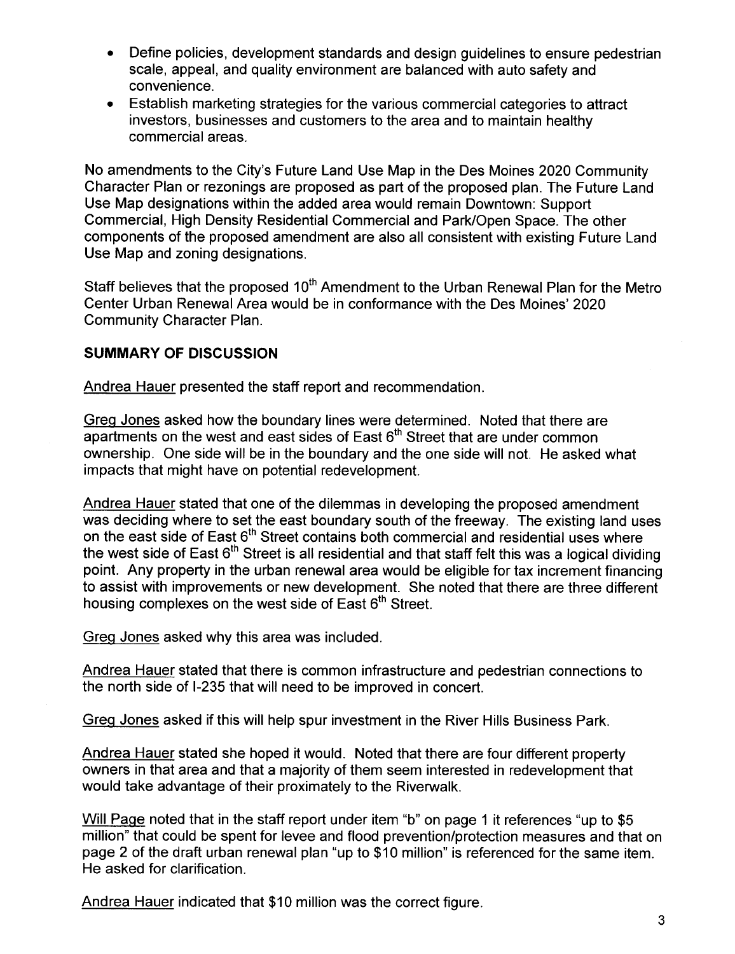- · Define policies, development standards and design guidelines to ensure pedestrian scale, appeal, and quality environment are balanced with auto safety and convenience.
- · Establish marketing strategies for the various commercial categories to attract investors, businesses and customers to the area and to maintain healthy commercial areas.

No amendments to the City's Future Land Use Map in the Des Moines 2020 Community Character Plan or rezonings are proposed as part of the proposed plan. The Future Land Use Map designations within the added area would remain Downtown: Support Commercial, High Density Residential Commercial and Park/Open Space. The other components of the proposed amendment are also all consistent with existing Future Land Use Map and zoning designations.

Staff believes that the proposed 10<sup>th</sup> Amendment to the Urban Renewal Plan for the Metro Center Urban Renewal Area would be in conformance with the Des Moines' 2020 Community Character Plan.

### SUMMARY OF DISCUSSION

Andrea Hauer presented the staff report and recommendation.

Greq Jones asked how the boundary lines were determined. Noted that there are  $a$  apartments on the west and east sides of East  $6<sup>th</sup>$  Street that are under common ownership. One side will be in the boundary and the one side will not. He asked what impacts that might have on potential redevelopment.

Andrea Hauer stated that one of the dilemmas in developing the proposed amendment was deciding where to set the east boundary south of the freeway. The existing land uses on the east side of East 6<sup>th</sup> Street contains both commercial and residential uses where the west side of East  $6<sup>th</sup>$  Street is all residential and that staff felt this was a logical dividing point. Any property in the urban renewal area would be eligible for tax increment financing to assist with improvements or new development. She noted that there are three different housing complexes on the west side of East 6<sup>th</sup> Street.

Greq Jones asked why this area was included.

Andrea Hauer stated that there is common infrastructure and pedestrian connections to the north side of 1-235 that will need to be improved in concert.

Greq Jones asked if this will help spur investment in the River Hills Business Park.

Andrea Hauer stated she hoped it would. Noted that there are four different property owners in that area and that a majority of them seem interested in redevelopment that would take advantage of their proximately to the Riverwalk.

Will Paqe noted that in the staff report under item "b" on page 1 it references "up to \$5 million" that could be spent for levee and flood prevention/protection measures and that on page 2 of the draft urban renewal plan "up to \$10 million" is referenced for the same item. He asked for clarification.

Andrea Hauer indicated that \$10 million was the correct figure.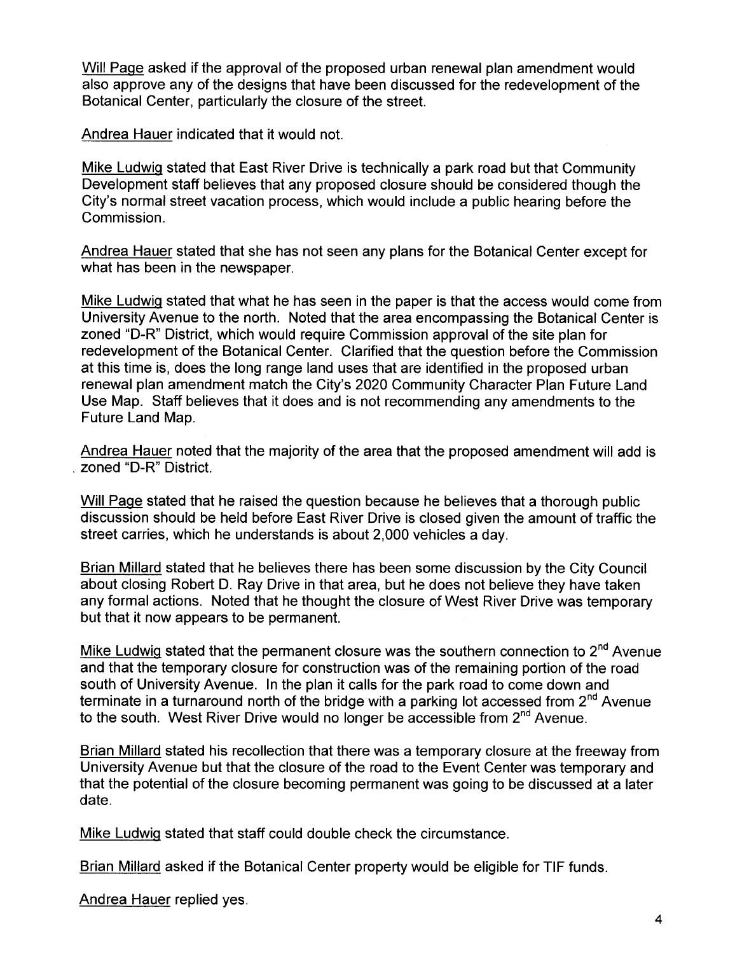Will Paqe asked if the approval of the proposed urban renewal plan amendment would also approve any of the designs that have been discussed for the redevelopment of the Botanical Center, particularly the closure of the street.

Andrea Hauer indicated that it would not.

Mike Ludwiq stated that East River Drive is technically a park road but that Community Development staff believes that any proposed closure should be considered though the City's normal street vacation process, which would include a public hearing before the Commission.

Andrea Hauer stated that she has not seen any plans for the Botanical Center except for what has been in the newspaper.

Mike Ludwiq stated that what he has seen in the paper is that the access would come from University Avenue to the north. Noted that the area encompassing the Botanical Center is zoned "D-R" District, which would require Commission approval of the site plan for redevelopment of the Botanical Center. Clarified that the question before the Commission at this time is, does the long range land uses that are identified in the proposed urban renewal plan amendment match the City's 2020 Community Character Plan Future Land Use Map. Staff believes that it does and is not recommending any amendments to the Future Land Map.

Andrea Hauer noted that the majority of the area that the proposed amendment will add is . zoned "D-R" District.

Will Paqe stated that he raised the question because he believes that a thorough public discussion should be held before East River Drive is closed given the amount of traffic the street carries, which he understands is about 2,000 vehicles a day.

Brian Millard stated that he believes there has been some discussion by the City Council about closing Robert D. Ray Drive in that area, but he does not believe they have taken any formal actions. Noted that he thought the closure of West River Drive was temporary but that it now appears to be permanent.

Mike Ludwig stated that the permanent closure was the southern connection to  $2^{nd}$  Avenue and that the temporary closure for construction was of the remaining portion of the road south of University Avenue. In the plan it calls for the park road to come down and terminate in a turnaround north of the bridge with a parking lot accessed from  $2<sup>nd</sup>$  Avenue to the south. West River Drive would no longer be accessible from 2<sup>nd</sup> Avenue.

Brian Millard stated his recollection that there was a temporary closure at the freeway from University Avenue but that the closure of the road to the Event Center was temporary and that the potential of the closure becoming permanent was going to be discussed at a later date.

Mike Ludwiq stated that staff could double check the circumstance.

Brian Millard asked if the Botanical Center property would be eligible for TIF funds.

Andrea Hauer replied yes.